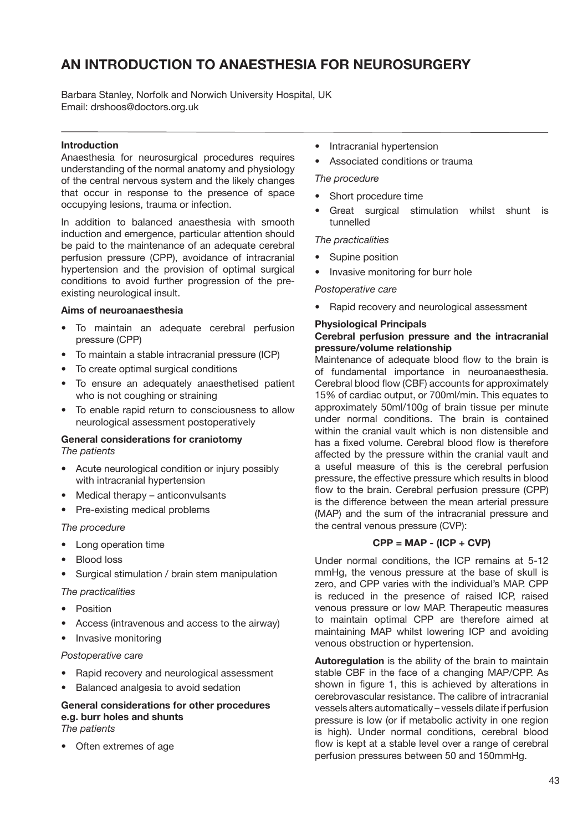# **An introduction to anaesthesia for neurosurgery**

Barbara Stanley, Norfolk and Norwich University Hospital, UK Email: drshoos@doctors.org.uk

## **Introduction**

Anaesthesia for neurosurgical procedures requires understanding of the normal anatomy and physiology of the central nervous system and the likely changes that occur in response to the presence of space occupying lesions, trauma or infection.

In addition to balanced anaesthesia with smooth induction and emergence, particular attention should be paid to the maintenance of an adequate cerebral perfusion pressure (CPP), avoidance of intracranial hypertension and the provision of optimal surgical conditions to avoid further progression of the preexisting neurological insult.

#### **Aims of neuroanaesthesia**

- To maintain an adequate cerebral perfusion pressure (CPP)
- To maintain a stable intracranial pressure (ICP)
- To create optimal surgical conditions
- To ensure an adequately anaesthetised patient who is not coughing or straining
- To enable rapid return to consciousness to allow neurological assessment postoperatively

#### **General considerations for craniotomy** *The patients*

- Acute neurological condition or injury possibly with intracranial hypertension
- Medical therapy anticonvulsants
- Pre-existing medical problems

#### *The procedure*

- Long operation time
- **Blood loss**
- Surgical stimulation / brain stem manipulation

#### *The practicalities*

- Position
- Access (intravenous and access to the airway)

## • Invasive monitoring

## *Postoperative care*

- Rapid recovery and neurological assessment
- Balanced analgesia to avoid sedation

# **General considerations for other procedures e.g. burr holes and shunts**

## *The patients*

• Often extremes of age

- Intracranial hypertension
- Associated conditions or trauma

#### *The procedure*

- Short procedure time
- Great surgical stimulation whilst shunt is tunnelled

#### *The practicalities*

- Supine position
- Invasive monitoring for burr hole

#### *Postoperative care*

• Rapid recovery and neurological assessment

#### **Physiological Principals**

#### **Cerebral perfusion pressure and the intracranial pressure/volume relationship**

Maintenance of adequate blood flow to the brain is of fundamental importance in neuroanaesthesia. Cerebral blood flow (CBF) accounts for approximately 15% of cardiac output, or 700ml/min. This equates to approximately 50ml/100g of brain tissue per minute under normal conditions. The brain is contained within the cranial vault which is non distensible and has a fixed volume. Cerebral blood flow is therefore affected by the pressure within the cranial vault and a useful measure of this is the cerebral perfusion pressure, the effective pressure which results in blood flow to the brain. Cerebral perfusion pressure (CPP) is the difference between the mean arterial pressure (MAP) and the sum of the intracranial pressure and the central venous pressure (CVP):

## **CPP = MAP - (ICP + CVP)**

Under normal conditions, the ICP remains at 5-12 mmHg, the venous pressure at the base of skull is zero, and CPP varies with the individual's MAP. CPP is reduced in the presence of raised ICP, raised venous pressure or low MAP. Therapeutic measures to maintain optimal CPP are therefore aimed at maintaining MAP whilst lowering ICP and avoiding venous obstruction or hypertension.

**Autoregulation** is the ability of the brain to maintain stable CBF in the face of a changing MAP/CPP. As shown in figure 1, this is achieved by alterations in cerebrovascular resistance. The calibre of intracranial vessels alters automatically – vessels dilate if perfusion pressure is low (or if metabolic activity in one region is high). Under normal conditions, cerebral blood flow is kept at a stable level over a range of cerebral perfusion pressures between 50 and 150mmHg.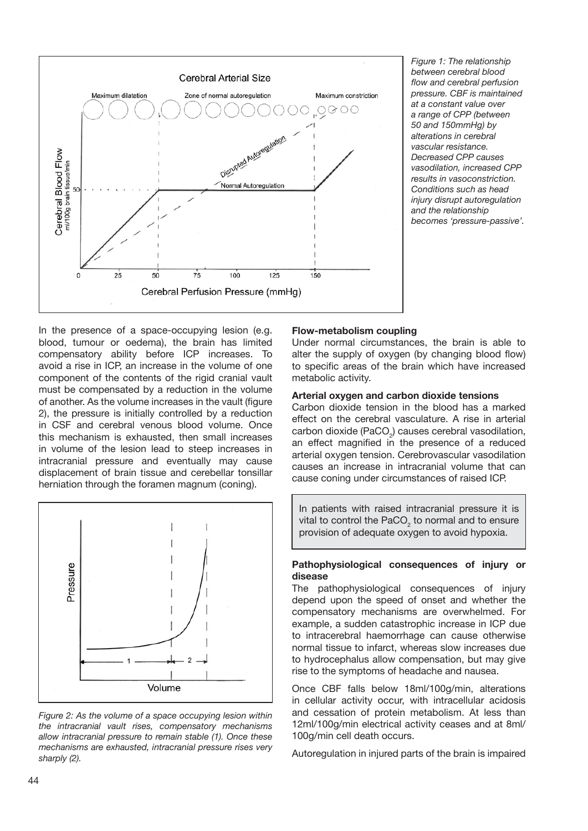

*Figure 1: The relationship between cerebral blood flow and cerebral perfusion pressure. CBF is maintained at a constant value over a range of CPP (between 50 and 150mmHg) by alterations in cerebral vascular resistance. Decreased CPP causes vasodilation, increased CPP results in vasoconstriction. Conditions such as head injury disrupt autoregulation and the relationship becomes 'pressure-passive'.*

In the presence of a space-occupying lesion (e.g. blood, tumour or oedema), the brain has limited compensatory ability before ICP increases. To avoid a rise in ICP, an increase in the volume of one component of the contents of the rigid cranial vault must be compensated by a reduction in the volume of another. As the volume increases in the vault (figure 2), the pressure is initially controlled by a reduction in CSF and cerebral venous blood volume. Once this mechanism is exhausted, then small increases in volume of the lesion lead to steep increases in intracranial pressure and eventually may cause displacement of brain tissue and cerebellar tonsillar herniation through the foramen magnum (coning).



*Figure 2: As the volume of a space occupying lesion within the intracranial vault rises, compensatory mechanisms allow intracranial pressure to remain stable (1). Once these mechanisms are exhausted, intracranial pressure rises very sharply (2).*

#### **Flow-metabolism coupling**

Under normal circumstances, the brain is able to alter the supply of oxygen (by changing blood flow) to specific areas of the brain which have increased metabolic activity.

#### **Arterial oxygen and carbon dioxide tensions**

Carbon dioxide tension in the blood has a marked effect on the cerebral vasculature. A rise in arterial carbon dioxide (PaCO<sub>2</sub>) causes cerebral vasodilation, an effect magnified in the presence of a reduced arterial oxygen tension. Cerebrovascular vasodilation causes an increase in intracranial volume that can cause coning under circumstances of raised ICP.

In patients with raised intracranial pressure it is vital to control the PaCO<sub>2</sub> to normal and to ensure provision of adequate oxygen to avoid hypoxia.

#### **Pathophysiological consequences of injury or disease**

The pathophysiological consequences of injury depend upon the speed of onset and whether the compensatory mechanisms are overwhelmed. For example, a sudden catastrophic increase in ICP due to intracerebral haemorrhage can cause otherwise normal tissue to infarct, whereas slow increases due to hydrocephalus allow compensation, but may give rise to the symptoms of headache and nausea.

Once CBF falls below 18ml/100g/min, alterations in cellular activity occur, with intracellular acidosis and cessation of protein metabolism. At less than 12ml/100g/min electrical activity ceases and at 8ml/ 100g/min cell death occurs.

Autoregulation in injured parts of the brain is impaired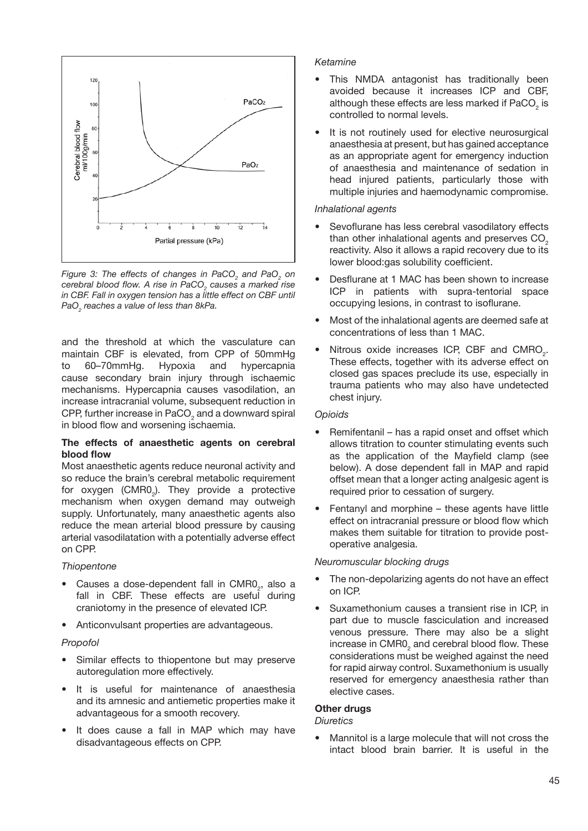

Figure 3: The effects of changes in PaCO<sub>2</sub> and PaO<sub>2</sub> on *cerebral blood flow. A rise in PaCO<sup>2</sup> causes a marked rise in CBF. Fall in oxygen tension has a little effect on CBF until PaO2 reaches a value of less than 8kPa.*

and the threshold at which the vasculature can maintain CBF is elevated, from CPP of 50mmHg 60–70mmHg. Hypoxia and hypercapnia cause secondary brain injury through ischaemic mechanisms. Hypercapnia causes vasodilation, an increase intracranial volume, subsequent reduction in CPP, further increase in PaCO $_2$  and a downward spiral in blood flow and worsening ischaemia.

## **The effects of anaesthetic agents on cerebral blood flow**

Most anaesthetic agents reduce neuronal activity and so reduce the brain's cerebral metabolic requirement for oxygen (CMR0<sub>2</sub>). They provide a protective mechanism when oxygen demand may outweigh supply. Unfortunately, many anaesthetic agents also reduce the mean arterial blood pressure by causing arterial vasodilatation with a potentially adverse effect on CPP.

## *Thiopentone*

- Causes a dose-dependent fall in CMR0<sub>2</sub>, also a fall in CBF. These effects are useful during craniotomy in the presence of elevated ICP.
- Anticonvulsant properties are advantageous.

#### *Propofol*

- Similar effects to thiopentone but may preserve autoregulation more effectively.
- It is useful for maintenance of anaesthesia and its amnesic and antiemetic properties make it advantageous for a smooth recovery.
- It does cause a fall in MAP which may have disadvantageous effects on CPP.

## *Ketamine*

- This NMDA antagonist has traditionally been avoided because it increases ICP and CBF, although these effects are less marked if PaCO<sub>2</sub> is controlled to normal levels.
- It is not routinely used for elective neurosurgical anaesthesia at present, but has gained acceptance as an appropriate agent for emergency induction of anaesthesia and maintenance of sedation in head injured patients, particularly those with multiple injuries and haemodynamic compromise.

#### *Inhalational agents*

- Sevoflurane has less cerebral vasodilatory effects than other inhalational agents and preserves CO<sub>2</sub> reactivity. Also it allows a rapid recovery due to its lower blood:gas solubility coefficient.
- Desflurane at 1 MAC has been shown to increase ICP in patients with supra-tentorial space occupying lesions, in contrast to isoflurane.
- Most of the inhalational agents are deemed safe at concentrations of less than 1 MAC.
- Nitrous oxide increases ICP, CBF and  $CMRO<sub>2</sub>$ . These effects, together with its adverse effect on closed gas spaces preclude its use, especially in trauma patients who may also have undetected chest injury.

#### *Opioids*

- Remifentanil has a rapid onset and offset which allows titration to counter stimulating events such as the application of the Mayfield clamp (see below). A dose dependent fall in MAP and rapid offset mean that a longer acting analgesic agent is required prior to cessation of surgery.
- Fentanyl and morphine these agents have little effect on intracranial pressure or blood flow which makes them suitable for titration to provide postoperative analgesia.

## *Neuromuscular blocking drugs*

- The non-depolarizing agents do not have an effect on ICP.
- Suxamethonium causes a transient rise in ICP, in part due to muscle fasciculation and increased venous pressure. There may also be a slight increase in  $\mathsf{CMR0}_2$  and cerebral blood flow. These considerations must be weighed against the need for rapid airway control. Suxamethonium is usually reserved for emergency anaesthesia rather than elective cases.

## **Other drugs**

#### *Diuretics*

• Mannitol is a large molecule that will not cross the intact blood brain barrier. It is useful in the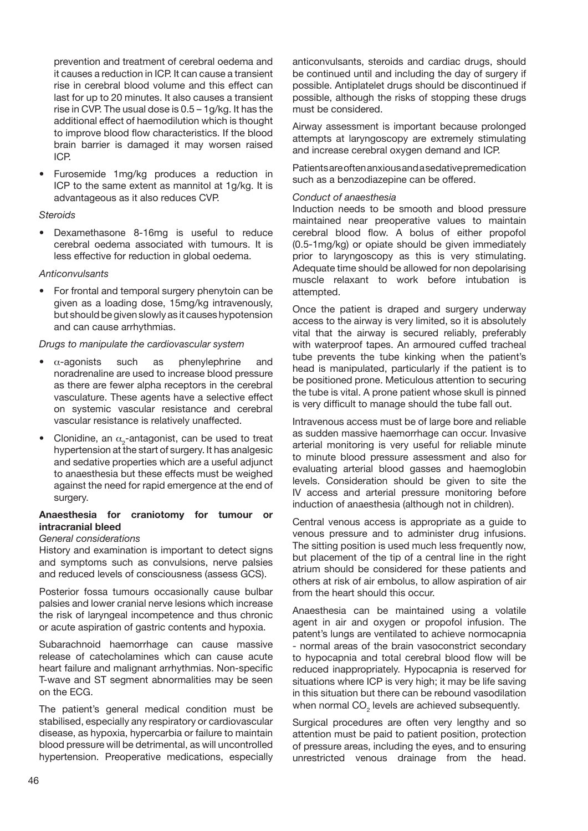prevention and treatment of cerebral oedema and it causes a reduction in ICP. It can cause a transient rise in cerebral blood volume and this effect can last for up to 20 minutes. It also causes a transient rise in CVP. The usual dose is 0.5 – 1g/kg. It has the additional effect of haemodilution which is thought to improve blood flow characteristics. If the blood brain barrier is damaged it may worsen raised ICP.

• Furosemide 1mg/kg produces a reduction in ICP to the same extent as mannitol at 1g/kg. It is advantageous as it also reduces CVP.

#### *Steroids*

• Dexamethasone 8-16mg is useful to reduce cerebral oedema associated with tumours. It is less effective for reduction in global oedema.

## *Anticonvulsants*

• For frontal and temporal surgery phenytoin can be given as a loading dose, 15mg/kg intravenously, but should be given slowly as it causes hypotension and can cause arrhythmias.

*Drugs to manipulate the cardiovascular system*

- $\alpha$ -agonists such as phenylephrine and noradrenaline are used to increase blood pressure as there are fewer alpha receptors in the cerebral vasculature. These agents have a selective effect on systemic vascular resistance and cerebral vascular resistance is relatively unaffected.
- Clonidine, an  $\alpha_{2}$ -antagonist, can be used to treat hypertension at the start of surgery. It has analgesic and sedative properties which are a useful adjunct to anaesthesia but these effects must be weighed against the need for rapid emergence at the end of surgery.

## **Anaesthesia for craniotomy for tumour or intracranial bleed**

## *General considerations*

History and examination is important to detect signs and symptoms such as convulsions, nerve palsies and reduced levels of consciousness (assess GCS).

Posterior fossa tumours occasionally cause bulbar palsies and lower cranial nerve lesions which increase the risk of laryngeal incompetence and thus chronic or acute aspiration of gastric contents and hypoxia.

Subarachnoid haemorrhage can cause massive release of catecholamines which can cause acute heart failure and malignant arrhythmias. Non-specific T-wave and ST segment abnormalities may be seen on the ECG.

The patient's general medical condition must be stabilised, especially any respiratory or cardiovascular disease, as hypoxia, hypercarbia or failure to maintain blood pressure will be detrimental, as will uncontrolled hypertension. Preoperative medications, especially anticonvulsants, steroids and cardiac drugs, should be continued until and including the day of surgery if possible. Antiplatelet drugs should be discontinued if possible, although the risks of stopping these drugs must be considered.

Airway assessment is important because prolonged attempts at laryngoscopy are extremely stimulating and increase cerebral oxygen demand and ICP.

Patients are often anxious and a sedative premedication such as a benzodiazepine can be offered.

#### *Conduct of anaesthesia*

Induction needs to be smooth and blood pressure maintained near preoperative values to maintain cerebral blood flow. A bolus of either propofol (0.5-1mg/kg) or opiate should be given immediately prior to laryngoscopy as this is very stimulating. Adequate time should be allowed for non depolarising muscle relaxant to work before intubation is attempted.

Once the patient is draped and surgery underway access to the airway is very limited, so it is absolutely vital that the airway is secured reliably, preferably with waterproof tapes. An armoured cuffed tracheal tube prevents the tube kinking when the patient's head is manipulated, particularly if the patient is to be positioned prone. Meticulous attention to securing the tube is vital. A prone patient whose skull is pinned is very difficult to manage should the tube fall out.

Intravenous access must be of large bore and reliable as sudden massive haemorrhage can occur. Invasive arterial monitoring is very useful for reliable minute to minute blood pressure assessment and also for evaluating arterial blood gasses and haemoglobin levels. Consideration should be given to site the IV access and arterial pressure monitoring before induction of anaesthesia (although not in children).

Central venous access is appropriate as a guide to venous pressure and to administer drug infusions. The sitting position is used much less frequently now, but placement of the tip of a central line in the right atrium should be considered for these patients and others at risk of air embolus, to allow aspiration of air from the heart should this occur.

Anaesthesia can be maintained using a volatile agent in air and oxygen or propofol infusion. The patent's lungs are ventilated to achieve normocapnia - normal areas of the brain vasoconstrict secondary to hypocapnia and total cerebral blood flow will be reduced inappropriately. Hypocapnia is reserved for situations where ICP is very high; it may be life saving in this situation but there can be rebound vasodilation when normal CO<sub>2</sub> levels are achieved subsequently.

Surgical procedures are often very lengthy and so attention must be paid to patient position, protection of pressure areas, including the eyes, and to ensuring unrestricted venous drainage from the head.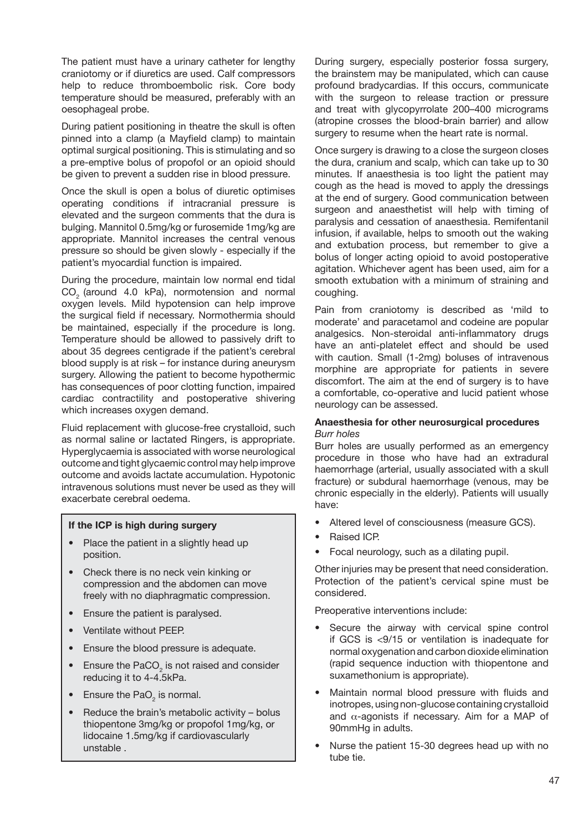The patient must have a urinary catheter for lengthy craniotomy or if diuretics are used. Calf compressors help to reduce thromboembolic risk. Core body temperature should be measured, preferably with an oesophageal probe.

During patient positioning in theatre the skull is often pinned into a clamp (a Mayfield clamp) to maintain optimal surgical positioning. This is stimulating and so a pre-emptive bolus of propofol or an opioid should be given to prevent a sudden rise in blood pressure.

Once the skull is open a bolus of diuretic optimises operating conditions if intracranial pressure is elevated and the surgeon comments that the dura is bulging. Mannitol 0.5mg/kg or furosemide 1mg/kg are appropriate. Mannitol increases the central venous pressure so should be given slowly - especially if the patient's myocardial function is impaired.

During the procedure, maintain low normal end tidal CO<sub>2</sub> (around 4.0 kPa), normotension and normal oxygen levels. Mild hypotension can help improve the surgical field if necessary. Normothermia should be maintained, especially if the procedure is long. Temperature should be allowed to passively drift to about 35 degrees centigrade if the patient's cerebral blood supply is at risk – for instance during aneurysm surgery. Allowing the patient to become hypothermic has consequences of poor clotting function, impaired cardiac contractility and postoperative shivering which increases oxygen demand.

Fluid replacement with glucose-free crystalloid, such as normal saline or lactated Ringers, is appropriate. Hyperglycaemia is associated with worse neurological outcome and tight glycaemic control may help improve outcome and avoids lactate accumulation. Hypotonic intravenous solutions must never be used as they will exacerbate cerebral oedema.

#### **If the ICP is high during surgery**

- Place the patient in a slightly head up position.
- Check there is no neck vein kinking or compression and the abdomen can move freely with no diaphragmatic compression.
- Ensure the patient is paralysed.
- Ventilate without PEEP.
- Ensure the blood pressure is adequate.
- Ensure the PaCO<sub>2</sub> is not raised and consider reducing it to 4-4.5kPa.
- Ensure the PaO<sub>2</sub> is normal.
- Reduce the brain's metabolic activity bolus thiopentone 3mg/kg or propofol 1mg/kg, or lidocaine 1.5mg/kg if cardiovascularly unstable .

During surgery, especially posterior fossa surgery, the brainstem may be manipulated, which can cause profound bradycardias. If this occurs, communicate with the surgeon to release traction or pressure and treat with glycopyrrolate 200–400 micrograms (atropine crosses the blood-brain barrier) and allow surgery to resume when the heart rate is normal.

Once surgery is drawing to a close the surgeon closes the dura, cranium and scalp, which can take up to 30 minutes. If anaesthesia is too light the patient may cough as the head is moved to apply the dressings at the end of surgery. Good communication between surgeon and anaesthetist will help with timing of paralysis and cessation of anaesthesia. Remifentanil infusion, if available, helps to smooth out the waking and extubation process, but remember to give a bolus of longer acting opioid to avoid postoperative agitation. Whichever agent has been used, aim for a smooth extubation with a minimum of straining and coughing.

Pain from craniotomy is described as 'mild to moderate' and paracetamol and codeine are popular analgesics. Non-steroidal anti-inflammatory drugs have an anti-platelet effect and should be used with caution. Small (1-2mg) boluses of intravenous morphine are appropriate for patients in severe discomfort. The aim at the end of surgery is to have a comfortable, co-operative and lucid patient whose neurology can be assessed.

## **Anaesthesia for other neurosurgical procedures** *Burr holes*

Burr holes are usually performed as an emergency procedure in those who have had an extradural haemorrhage (arterial, usually associated with a skull fracture) or subdural haemorrhage (venous, may be chronic especially in the elderly). Patients will usually have:

- Altered level of consciousness (measure GCS).
- Raised ICP.
- Focal neurology, such as a dilating pupil.

Other injuries may be present that need consideration. Protection of the patient's cervical spine must be considered.

Preoperative interventions include:

- Secure the airway with cervical spine control if GCS is <9/15 or ventilation is inadequate for normal oxygenation and carbon dioxide elimination (rapid sequence induction with thiopentone and suxamethonium is appropriate).
- Maintain normal blood pressure with fluids and inotropes, using non-glucose containing crystalloid and  $\alpha$ -agonists if necessary. Aim for a MAP of 90mmHg in adults.
- Nurse the patient 15-30 degrees head up with no tube tie.